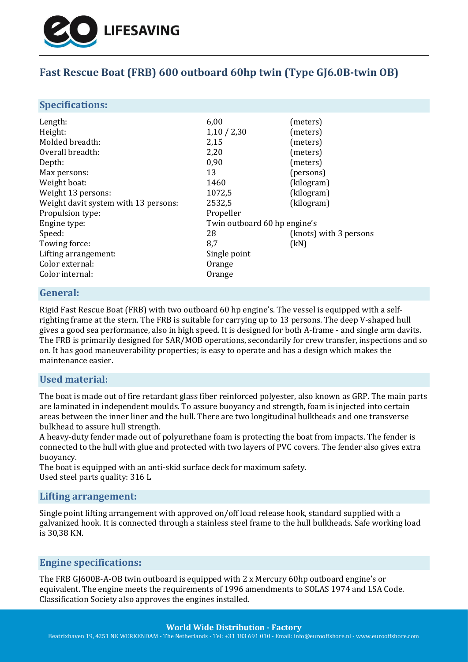

# **Fast Rescue Boat (FRB) 600 outboard 60hp twin (Type GJ6.0B-twin OB)**

### **Specifications:**

| Length:                              | 6,00                         | (meters)               |
|--------------------------------------|------------------------------|------------------------|
| Height:                              | 1,10/2,30                    | (meters)               |
| Molded breadth:                      | 2,15                         | (meters)               |
| Overall breadth:                     | 2,20                         | (meters)               |
| Depth:                               | 0,90                         | (meters)               |
| Max persons:                         | 13                           | (persons)              |
| Weight boat:                         | 1460                         | (kilogram)             |
| Weight 13 persons:                   | 1072,5                       | (kilogram)             |
| Weight davit system with 13 persons: | 2532,5                       | (kilogram)             |
| Propulsion type:                     | Propeller                    |                        |
| Engine type:                         | Twin outboard 60 hp engine's |                        |
| Speed:                               | 28                           | (knots) with 3 persons |
| Towing force:                        | 8,7                          | (kN)                   |
| Lifting arrangement:                 | Single point                 |                        |
| Color external:                      | Orange                       |                        |
| Color internal:                      | Orange                       |                        |

### **General:**

Rigid Fast Rescue Boat (FRB) with two outboard 60 hp engine's. The vessel is equipped with a selfrighting frame at the stern. The FRB is suitable for carrying up to 13 persons. The deep V-shaped hull gives a good sea performance, also in high speed. It is designed for both A-frame - and single arm davits. The FRB is primarily designed for SAR/MOB operations, secondarily for crew transfer, inspections and so on. It has good maneuverability properties; is easy to operate and has a design which makes the maintenance easier.

### **Used material:**

The boat is made out of fire retardant glass fiber reinforced polyester, also known as GRP. The main parts are laminated in independent moulds. To assure buoyancy and strength, foam is injected into certain areas between the inner liner and the hull. There are two longitudinal bulkheads and one transverse bulkhead to assure hull strength.

A heavy-duty fender made out of polyurethane foam is protecting the boat from impacts. The fender is connected to the hull with glue and protected with two layers of PVC covers. The fender also gives extra buoyancy.

The boat is equipped with an anti-skid surface deck for maximum safety. Used steel parts quality: 316 L

#### **Lifting arrangement:**

Single point lifting arrangement with approved on/off load release hook, standard supplied with a galvanized hook. It is connected through a stainless steel frame to the hull bulkheads. Safe working load is 30,38 KN.

### **Engine specifications:**

The FRB GJ600B-A-OB twin outboard is equipped with 2 x Mercury 60hp outboard engine's or equivalent. The engine meets the requirements of 1996 amendments to SOLAS 1974 and LSA Code. Classification Society also approves the engines installed.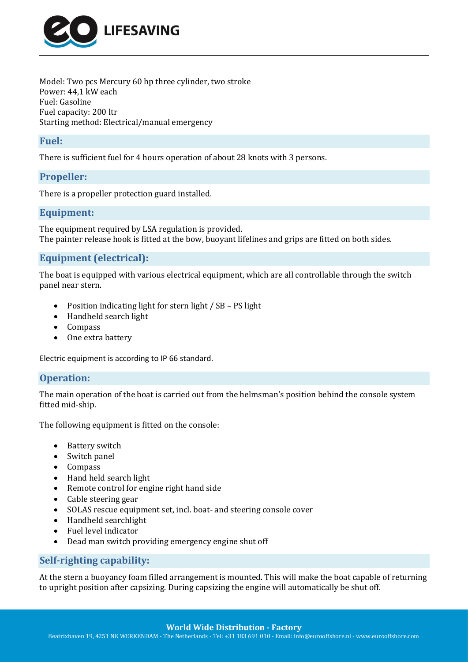

Model: Two pcs Mercury 60 hp three cylinder, two stroke Power: 44,1 kW each Fuel: Gasoline Fuel capacity: 200 ltr Starting method: Electrical/manual emergency

### **Fuel:**

There is sufficient fuel for 4 hours operation of about 28 knots with 3 persons.

### **Propeller:**

There is a propeller protection guard installed.

### **Equipment:**

The equipment required by LSA regulation is provided. The painter release hook is fitted at the bow, buoyant lifelines and grips are fitted on both sides.

## **Equipment (electrical):**

The boat is equipped with various electrical equipment, which are all controllable through the switch panel near stern.

- Position indicating light for stern light / SB PS light
- Handheld search light
- Compass
- One extra battery

Electric equipment is according to IP 66 standard.

### **Operation:**

The main operation of the boat is carried out from the helmsman's position behind the console system fitted mid-ship.

The following equipment is fitted on the console:

- Battery switch
- Switch panel
- Compass
- Hand held search light
- Remote control for engine right hand side
- Cable steering gear
- SOLAS rescue equipment set, incl. boat- and steering console cover
- Handheld searchlight
- Fuel level indicator
- Dead man switch providing emergency engine shut off

### **Self-righting capability:**

At the stern a buoyancy foam filled arrangement is mounted. This will make the boat capable of returning to upright position after capsizing. During capsizing the engine will automatically be shut off.

#### **World Wide Distribution - Factory**